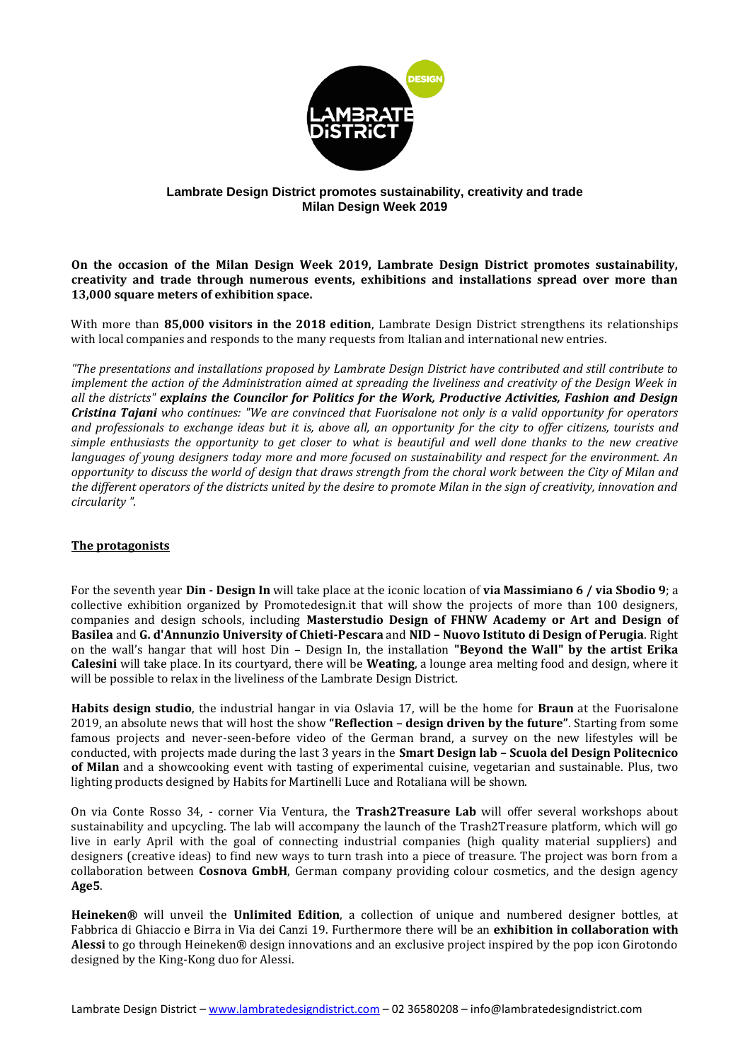

## **Lambrate Design District promotes sustainability, creativity and trade Milan Design Week 2019**

**On the occasion of the Milan Design Week 2019, Lambrate Design District promotes sustainability, creativity and trade through numerous events, exhibitions and installations spread over more than 13,000 square meters of exhibition space.**

With more than **85,000 visitors in the 2018 edition**, Lambrate Design District strengthens its relationships with local companies and responds to the many requests from Italian and international new entries.

*"The presentations and installations proposed by Lambrate Design District have contributed and still contribute to implement the action of the Administration aimed at spreading the liveliness and creativity of the Design Week in all the districts" explains the Councilor for Politics for the Work, Productive Activities, Fashion and Design Cristina Tajani who continues: "We are convinced that Fuorisalone not only is a valid opportunity for operators and professionals to exchange ideas but it is, above all, an opportunity for the city to offer citizens, tourists and simple enthusiasts the opportunity to get closer to what is beautiful and well done thanks to the new creative languages of young designers today more and more focused on sustainability and respect for the environment. An opportunity to discuss the world of design that draws strength from the choral work between the City of Milan and the different operators of the districts united by the desire to promote Milan in the sign of creativity, innovation and circularity ".*

## **The protagonists**

For the seventh year **Din - Design In** will take place at the iconic location of **via Massimiano 6 / via Sbodio 9**; a collective exhibition organized by Promotedesign.it that will show the projects of more than 100 designers, companies and design schools, including **Masterstudio Design of FHNW Academy or Art and Design of Basilea** and **G. d'Annunzio University of Chieti-Pescara** and **NID – Nuovo Istituto di Design of Perugia**. Right on the wall's hangar that will host Din – Design In, the installation **"Beyond the Wall" by the artist Erika Calesini** will take place. In its courtyard, there will be **Weating**, a lounge area melting food and design, where it will be possible to relax in the liveliness of the Lambrate Design District.

**Habits design studio**, the industrial hangar in via Oslavia 17, will be the home for **Braun** at the Fuorisalone 2019, an absolute news that will host the show **"Reflection – design driven by the future"**. Starting from some famous projects and never-seen-before video of the German brand, a survey on the new lifestyles will be conducted, with projects made during the last 3 years in the **Smart Design lab – Scuola del Design Politecnico of Milan** and a showcooking event with tasting of experimental cuisine, vegetarian and sustainable. Plus, two lighting products designed by Habits for Martinelli Luce and Rotaliana will be shown.

On via Conte Rosso 34, - corner Via Ventura, the **Trash2Treasure Lab** will offer several workshops about sustainability and upcycling. The lab will accompany the launch of the Trash2Treasure platform, which will go live in early April with the goal of connecting industrial companies (high quality material suppliers) and designers (creative ideas) to find new ways to turn trash into a piece of treasure. The project was born from a collaboration between **Cosnova GmbH**, German company providing colour cosmetics, and the design agency **Age5**.

**Heineken®** will unveil the **Unlimited Edition**, a collection of unique and numbered designer bottles, at Fabbrica di Ghiaccio e Birra in Via dei Canzi 19. Furthermore there will be an **exhibition in collaboration with Alessi** to go through Heineken® design innovations and an exclusive project inspired by the pop icon Girotondo designed by the King-Kong duo for Alessi.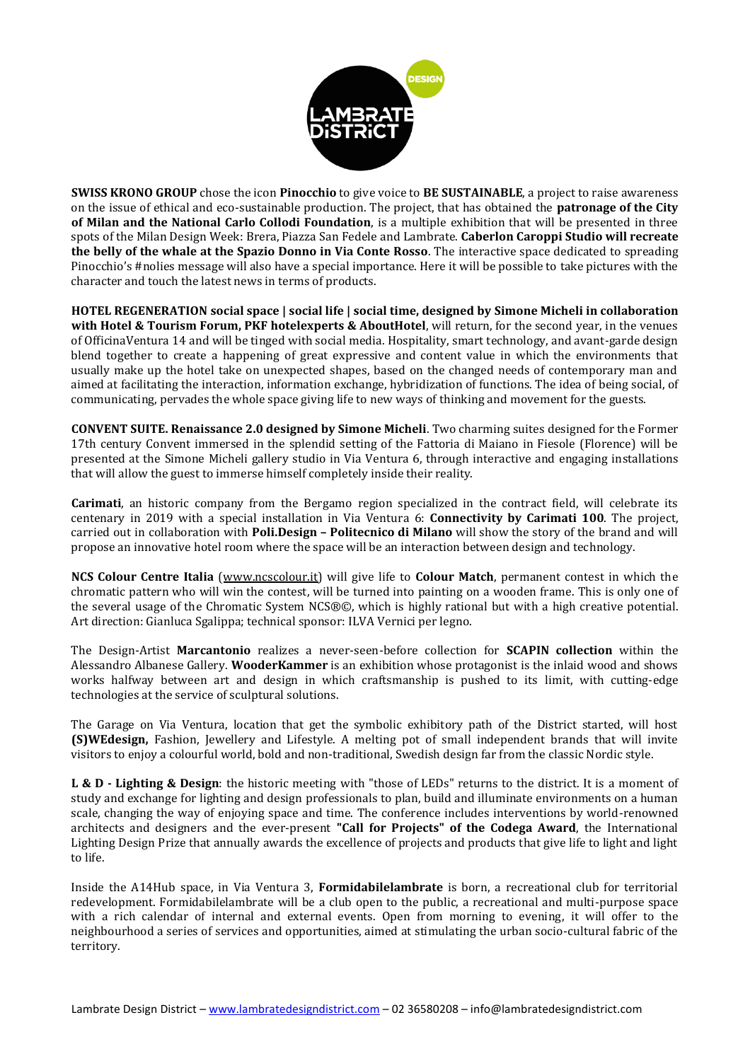

**SWISS KRONO GROUP** chose the icon **Pinocchio** to give voice to **BE SUSTAINABLE**, a project to raise awareness on the issue of ethical and eco-sustainable production. The project, that has obtained the **patronage of the City of Milan and the National Carlo Collodi Foundation**, is a multiple exhibition that will be presented in three spots of the Milan Design Week: Brera, Piazza San Fedele and Lambrate. **Caberlon Caroppi Studio will recreate the belly of the whale at the Spazio Donno in Via Conte Rosso**. The interactive space dedicated to spreading Pinocchio's #nolies message will also have a special importance. Here it will be possible to take pictures with the character and touch the latest news in terms of products.

**HOTEL REGENERATION social space | social life | social time, designed by Simone Micheli in collaboration with Hotel & Tourism Forum, PKF hotelexperts & AboutHotel**, will return, for the second year, in the venues of OfficinaVentura 14 and will be tinged with social media. Hospitality, smart technology, and avant-garde design blend together to create a happening of great expressive and content value in which the environments that usually make up the hotel take on unexpected shapes, based on the changed needs of contemporary man and aimed at facilitating the interaction, information exchange, hybridization of functions. The idea of being social, of communicating, pervades the whole space giving life to new ways of thinking and movement for the guests.

**CONVENT SUITE. Renaissance 2.0 designed by Simone Micheli**. Two charming suites designed for the Former 17th century Convent immersed in the splendid setting of the Fattoria di Maiano in Fiesole (Florence) will be presented at the Simone Micheli gallery studio in Via Ventura 6, through interactive and engaging installations that will allow the guest to immerse himself completely inside their reality.

**Carimati**, an historic company from the Bergamo region specialized in the contract field, will celebrate its centenary in 2019 with a special installation in Via Ventura 6: **Connectivity by Carimati 100**. The project, carried out in collaboration with **Poli.Design – Politecnico di Milano** will show the story of the brand and will propose an innovative hotel room where the space will be an interaction between design and technology.

**NCS Colour Centre Italia** [\(www.ncscolour.it\)](http://www.ncscolour.it/) will give life to **Colour Match**, permanent contest in which the chromatic pattern who will win the contest, will be turned into painting on a wooden frame. This is only one of the several usage of the Chromatic System NCS®©, which is highly rational but with a high creative potential. Art direction: Gianluca Sgalippa; technical sponsor: ILVA Vernici per legno.

The Design-Artist **Marcantonio** realizes a never-seen-before collection for **SCAPIN collection** within the Alessandro Albanese Gallery. **WooderKammer** is an exhibition whose protagonist is the inlaid wood and shows works halfway between art and design in which craftsmanship is pushed to its limit, with cutting-edge technologies at the service of sculptural solutions.

The Garage on Via Ventura, location that get the symbolic exhibitory path of the District started, will host **(S)WEdesign,** Fashion, Jewellery and Lifestyle. A melting pot of small independent brands that will invite visitors to enjoy a colourful world, bold and non-traditional, Swedish design far from the classic Nordic style.

**L & D - Lighting & Design**: the historic meeting with "those of LEDs" returns to the district. It is a moment of study and exchange for lighting and design professionals to plan, build and illuminate environments on a human scale, changing the way of enjoying space and time. The conference includes interventions by world-renowned architects and designers and the ever-present **"Call for Projects" of the Codega Award**, the International Lighting Design Prize that annually awards the excellence of projects and products that give life to light and light to life.

Inside the A14Hub space, in Via Ventura 3, **Formidabilelambrate** is born, a recreational club for territorial redevelopment. Formidabilelambrate will be a club open to the public, a recreational and multi-purpose space with a rich calendar of internal and external events. Open from morning to evening, it will offer to the neighbourhood a series of services and opportunities, aimed at stimulating the urban socio-cultural fabric of the territory.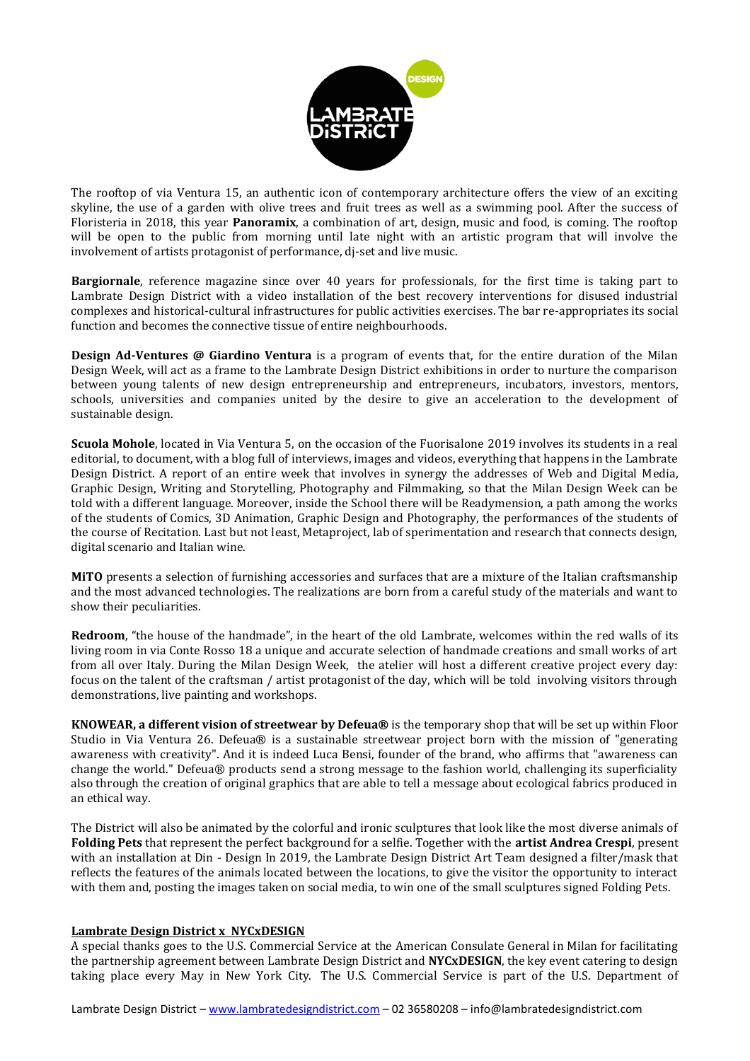

The rooftop of via Ventura 15, an authentic icon of contemporary architecture offers the view of an exciting skyline, the use of a garden with olive trees and fruit trees as well as a swimming pool. After the success of Floristeria in 2018, this year **Panoramix**, a combination of art, design, music and food, is coming. The rooftop will be open to the public from morning until late night with an artistic program that will involve the involvement of artists protagonist of performance, dj-set and live music.

**Bargiornale**, reference magazine since over 40 years for professionals, for the first time is taking part to Lambrate Design District with a video installation of the best recovery interventions for disused industrial complexes and historical-cultural infrastructures for public activities exercises. The bar re-appropriates its social function and becomes the connective tissue of entire neighbourhoods.

**Design Ad-Ventures @ Giardino Ventura** is a program of events that, for the entire duration of the Milan Design Week, will act as a frame to the Lambrate Design District exhibitions in order to nurture the comparison between young talents of new design entrepreneurship and entrepreneurs, incubators, investors, mentors, schools, universities and companies united by the desire to give an acceleration to the development of sustainable design.

**Scuola Mohole**, located in Via Ventura 5, on the occasion of the Fuorisalone 2019 involves its students in a real editorial, to document, with a blog full of interviews, images and videos, everything that happens in the Lambrate Design District. A report of an entire week that involves in synergy the addresses of Web and Digital Media, Graphic Design, Writing and Storytelling, Photography and Filmmaking, so that the Milan Design Week can be told with a different language. Moreover, inside the School there will be Readymension, a path among the works of the students of Comics, 3D Animation, Graphic Design and Photography, the performances of the students of the course of Recitation. Last but not least, Metaproject, lab of sperimentation and research that connects design, digital scenario and Italian wine.

**MiTO** presents a selection of furnishing accessories and surfaces that are a mixture of the Italian craftsmanship and the most advanced technologies. The realizations are born from a careful study of the materials and want to show their peculiarities.

**Redroom**, "the house of the handmade", in the heart of the old Lambrate, welcomes within the red walls of its living room in via Conte Rosso 18 a unique and accurate selection of handmade creations and small works of art from all over Italy. During the Milan Design Week, the atelier will host a different creative project every day: focus on the talent of the craftsman / artist protagonist of the day, which will be told involving visitors through demonstrations, live painting and workshops.

**KNOWEAR, a different vision of streetwear by Defeua®** is the temporary shop that will be set up within Floor Studio in Via Ventura 26. Defeua® is a sustainable streetwear project born with the mission of "generating awareness with creativity". And it is indeed Luca Bensi, founder of the brand, who affirms that "awareness can change the world." Defeua® products send a strong message to the fashion world, challenging its superficiality also through the creation of original graphics that are able to tell a message about ecological fabrics produced in an ethical way.

The District will also be animated by the colorful and ironic sculptures that look like the most diverse animals of **Folding Pets** that represent the perfect background for a selfie. Together with the **artist Andrea Crespi**, present with an installation at Din - Design In 2019, the Lambrate Design District Art Team designed a filter/mask that reflects the features of the animals located between the locations, to give the visitor the opportunity to interact with them and, posting the images taken on social media, to win one of the small sculptures signed Folding Pets.

## **Lambrate Design District x NYCxDESIGN**

A special thanks goes to the U.S. Commercial Service at the American Consulate General in Milan for facilitating the partnership agreement between Lambrate Design District and **NYCxDESIGN**, the key event catering to design taking place every May in New York City. The U.S. Commercial Service is part of the U.S. Department of